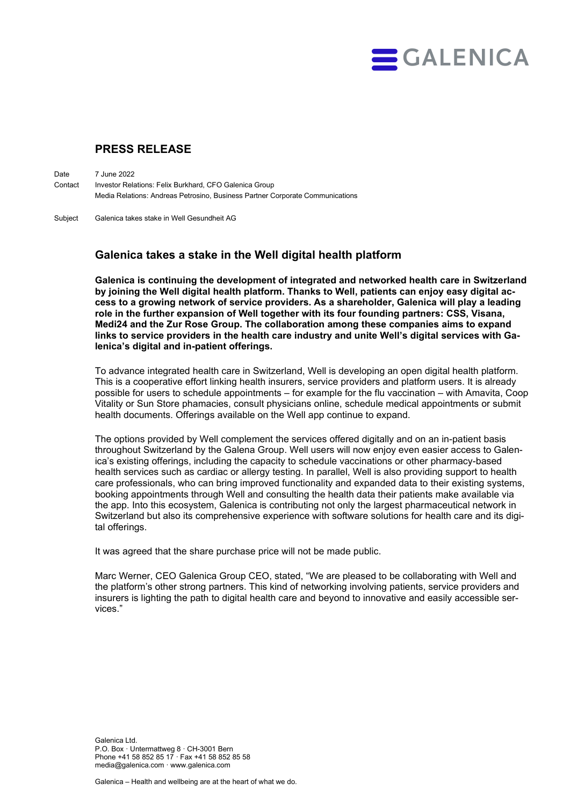

# **PRESS RELEASE**

Date 7 June 2022 Contact Investor Relations: Felix Burkhard, CFO Galenica Group Media Relations: Andreas Petrosino, Business Partner Corporate Communications

Subject Galenica takes stake in Well Gesundheit AG

## **Galenica takes a stake in the Well digital health platform**

**Galenica is continuing the development of integrated and networked health care in Switzerland by joining the Well digital health platform. Thanks to Well, patients can enjoy easy digital access to a growing network of service providers. As a shareholder, Galenica will play a leading role in the further expansion of Well together with its four founding partners: CSS, Visana, Medi24 and the Zur Rose Group. The collaboration among these companies aims to expand links to service providers in the health care industry and unite Well's digital services with Galenica's digital and in-patient offerings.**

To advance integrated health care in Switzerland, Well is developing an open digital health platform. This is a cooperative effort linking health insurers, service providers and platform users. It is already possible for users to schedule appointments – for example for the flu vaccination – with Amavita, Coop Vitality or Sun Store phamacies, consult physicians online, schedule medical appointments or submit health documents. Offerings available on the Well app continue to expand.

The options provided by Well complement the services offered digitally and on an in-patient basis throughout Switzerland by the Galena Group. Well users will now enjoy even easier access to Galenica's existing offerings, including the capacity to schedule vaccinations or other pharmacy-based health services such as cardiac or allergy testing. In parallel, Well is also providing support to health care professionals, who can bring improved functionality and expanded data to their existing systems, booking appointments through Well and consulting the health data their patients make available via the app. Into this ecosystem, Galenica is contributing not only the largest pharmaceutical network in Switzerland but also its comprehensive experience with software solutions for health care and its digital offerings.

It was agreed that the share purchase price will not be made public.

Marc Werner, CEO Galenica Group CEO, stated, "We are pleased to be collaborating with Well and the platform's other strong partners. This kind of networking involving patients, service providers and insurers is lighting the path to digital health care and beyond to innovative and easily accessible services."